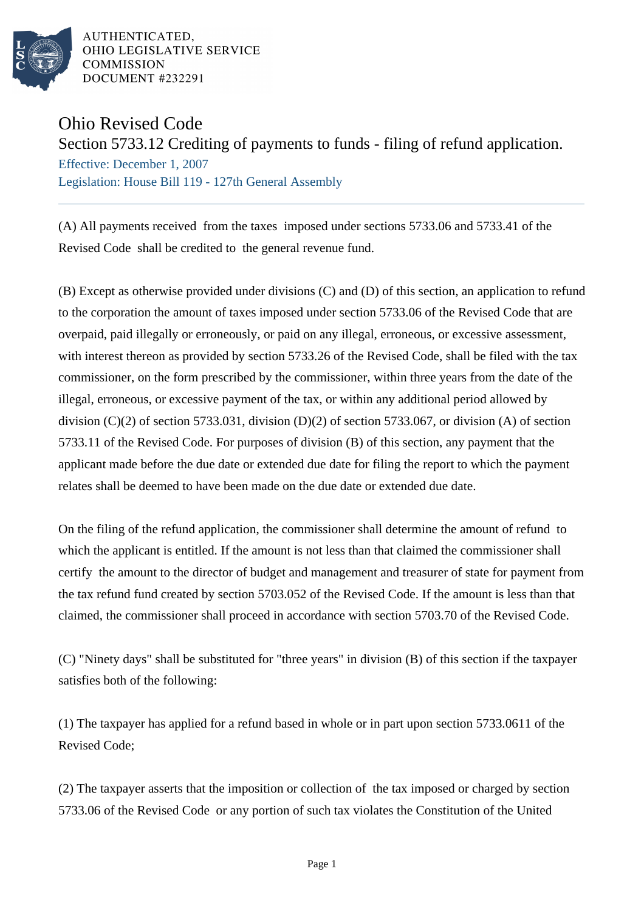

AUTHENTICATED. OHIO LEGISLATIVE SERVICE **COMMISSION** DOCUMENT #232291

## Ohio Revised Code

Section 5733.12 Crediting of payments to funds - filing of refund application.

Effective: December 1, 2007 Legislation: House Bill 119 - 127th General Assembly

(A) All payments received from the taxes imposed under sections 5733.06 and 5733.41 of the Revised Code shall be credited to the general revenue fund.

(B) Except as otherwise provided under divisions (C) and (D) of this section, an application to refund to the corporation the amount of taxes imposed under section 5733.06 of the Revised Code that are overpaid, paid illegally or erroneously, or paid on any illegal, erroneous, or excessive assessment, with interest thereon as provided by section 5733.26 of the Revised Code, shall be filed with the tax commissioner, on the form prescribed by the commissioner, within three years from the date of the illegal, erroneous, or excessive payment of the tax, or within any additional period allowed by division (C)(2) of section 5733.031, division (D)(2) of section 5733.067, or division (A) of section 5733.11 of the Revised Code. For purposes of division (B) of this section, any payment that the applicant made before the due date or extended due date for filing the report to which the payment relates shall be deemed to have been made on the due date or extended due date.

On the filing of the refund application, the commissioner shall determine the amount of refund to which the applicant is entitled. If the amount is not less than that claimed the commissioner shall certify the amount to the director of budget and management and treasurer of state for payment from the tax refund fund created by section 5703.052 of the Revised Code. If the amount is less than that claimed, the commissioner shall proceed in accordance with section 5703.70 of the Revised Code.

(C) "Ninety days" shall be substituted for "three years" in division (B) of this section if the taxpayer satisfies both of the following:

(1) The taxpayer has applied for a refund based in whole or in part upon section 5733.0611 of the Revised Code;

(2) The taxpayer asserts that the imposition or collection of the tax imposed or charged by section 5733.06 of the Revised Code or any portion of such tax violates the Constitution of the United